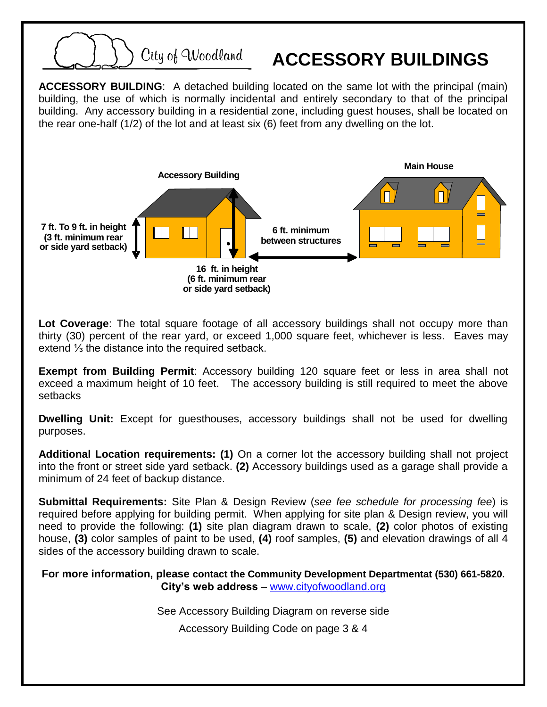

**Lot Coverage**: The total square footage of all accessory buildings shall not occupy more than thirty (30) percent of the rear yard, or exceed 1,000 square feet, whichever is less. Eaves may extend ⅓ the distance into the required setback.

**Exempt from Building Permit**: Accessory building 120 square feet or less in area shall not exceed a maximum height of 10 feet. The accessory building is still required to meet the above setbacks

**Dwelling Unit:** Except for guesthouses, accessory buildings shall not be used for dwelling purposes.

**Additional Location requirements: (1)** On a corner lot the accessory building shall not project into the front or street side yard setback. **(2)** Accessory buildings used as a garage shall provide a minimum of 24 feet of backup distance.

**Submittal Requirements:** Site Plan & Design Review (*see fee schedule for processing fee*) is required before applying for building permit. When applying for site plan & Design review, you will need to provide the following: **(1)** site plan diagram drawn to scale, **(2)** color photos of existing house, **(3)** color samples of paint to be used, **(4)** roof samples, **(5)** and elevation drawings of all 4 sides of the accessory building drawn to scale.

**For more information, please contact the Community Development Departmentat (530) 661-5820. City's web address** – [www.cityofwoodland.org](http://www.cityofwoodland.org/)

See Accessory Building Diagram on reverse side

Accessory Building Code on page 3 & 4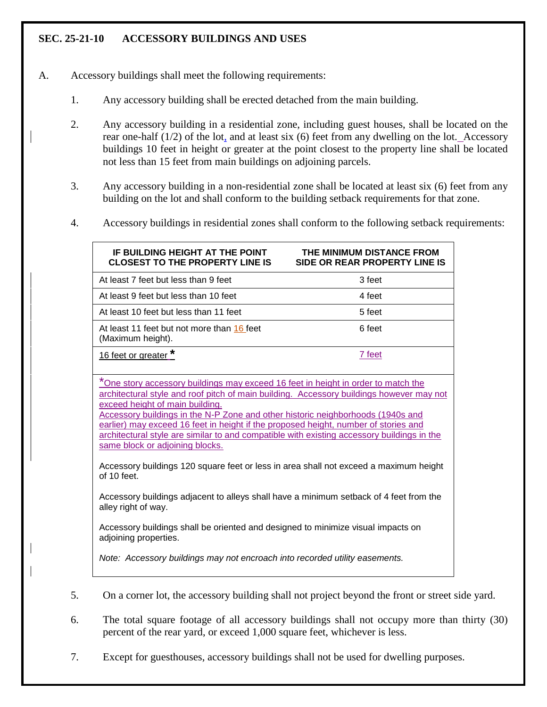## **SEC. 25-21-10 ACCESSORY BUILDINGS AND USES**

- A. Accessory buildings shall meet the following requirements:
	- 1. Any accessory building shall be erected detached from the main building.
	- 2. Any accessory building in a residential zone, including guest houses, shall be located on the rear one-half (1/2) of the lot, and at least six (6) feet from any dwelling on the lot. Accessory buildings 10 feet in height or greater at the point closest to the property line shall be located not less than 15 feet from main buildings on adjoining parcels.
	- 3. Any accessory building in a non-residential zone shall be located at least six (6) feet from any building on the lot and shall conform to the building setback requirements for that zone.
	- 4. Accessory buildings in residential zones shall conform to the following setback requirements:

| IF BUILDING HEIGHT AT THE POINT<br><b>CLOSEST TO THE PROPERTY LINE IS</b>                                                                                                                                                                                                                                                                                                                                                                                                                                                   | THE MINIMUM DISTANCE FROM<br>SIDE OR REAR PROPERTY LINE IS |
|-----------------------------------------------------------------------------------------------------------------------------------------------------------------------------------------------------------------------------------------------------------------------------------------------------------------------------------------------------------------------------------------------------------------------------------------------------------------------------------------------------------------------------|------------------------------------------------------------|
| At least 7 feet but less than 9 feet                                                                                                                                                                                                                                                                                                                                                                                                                                                                                        | 3 feet                                                     |
| At least 9 feet but less than 10 feet                                                                                                                                                                                                                                                                                                                                                                                                                                                                                       | 4 feet                                                     |
| At least 10 feet but less than 11 feet                                                                                                                                                                                                                                                                                                                                                                                                                                                                                      | 5 feet                                                     |
| At least 11 feet but not more than 16 feet<br>(Maximum height).                                                                                                                                                                                                                                                                                                                                                                                                                                                             | 6 feet                                                     |
| 16 feet or greater *                                                                                                                                                                                                                                                                                                                                                                                                                                                                                                        | 7 feet                                                     |
| *One story accessory buildings may exceed 16 feet in height in order to match the<br>architectural style and roof pitch of main building. Accessory buildings however may not<br>exceed height of main building.<br>Accessory buildings in the N-P Zone and other historic neighborhoods (1940s and<br>earlier) may exceed 16 feet in height if the proposed height, number of stories and<br>architectural style are similar to and compatible with existing accessory buildings in the<br>same block or adjoining blocks. |                                                            |
| Accessory buildings 120 square feet or less in area shall not exceed a maximum height<br>of 10 feet.                                                                                                                                                                                                                                                                                                                                                                                                                        |                                                            |
| Accessory buildings adjacent to alleys shall have a minimum setback of 4 feet from the<br>alley right of way.                                                                                                                                                                                                                                                                                                                                                                                                               |                                                            |
| Accessory buildings shall be oriented and designed to minimize visual impacts on<br>adjoining properties.                                                                                                                                                                                                                                                                                                                                                                                                                   |                                                            |
| Note: Accessory buildings may not encroach into recorded utility easements.                                                                                                                                                                                                                                                                                                                                                                                                                                                 |                                                            |

- 5. On a corner lot, the accessory building shall not project beyond the front or street side yard.
- 6. The total square footage of all accessory buildings shall not occupy more than thirty (30) percent of the rear yard, or exceed 1,000 square feet, whichever is less.
- 7. Except for guesthouses, accessory buildings shall not be used for dwelling purposes.